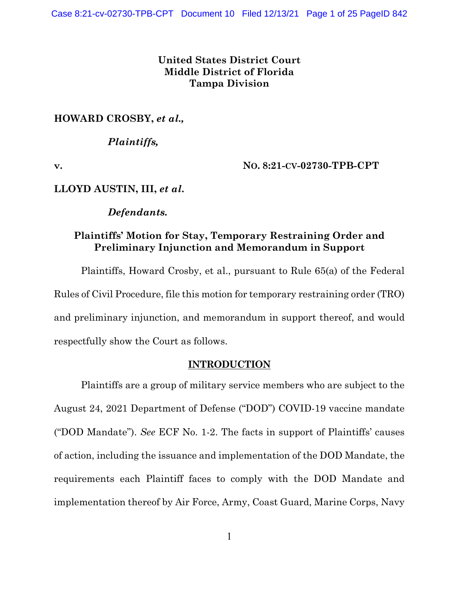# **United States District Court Middle District of Florida Tampa Division**

# **HOWARD CROSBY,** *et al.,*

# *Plaintiffs,*

**v. NO. 8:21-CV-02730-TPB-CPT**

## **LLOYD AUSTIN, III,** *et al***.**

## *Defendants.*

# **Plaintiffs' Motion for Stay, Temporary Restraining Order and Preliminary Injunction and Memorandum in Support**

Plaintiffs, Howard Crosby, et al., pursuant to Rule 65(a) of the Federal Rules of Civil Procedure, file this motion for temporary restraining order (TRO) and preliminary injunction, and memorandum in support thereof, and would respectfully show the Court as follows.

## **INTRODUCTION**

Plaintiffs are a group of military service members who are subject to the August 24, 2021 Department of Defense ("DOD") COVID-19 vaccine mandate ("DOD Mandate"). *See* ECF No. 1-2. The facts in support of Plaintiffs' causes of action, including the issuance and implementation of the DOD Mandate, the requirements each Plaintiff faces to comply with the DOD Mandate and implementation thereof by Air Force, Army, Coast Guard, Marine Corps, Navy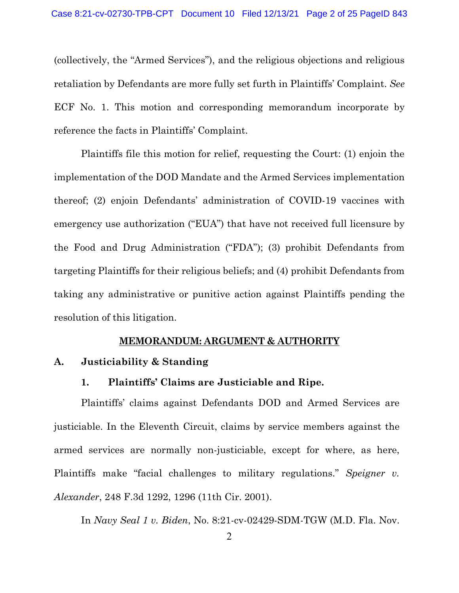(collectively, the "Armed Services"), and the religious objections and religious retaliation by Defendants are more fully set furth in Plaintiffs' Complaint. *See*  ECF No. 1. This motion and corresponding memorandum incorporate by reference the facts in Plaintiffs' Complaint.

Plaintiffs file this motion for relief, requesting the Court: (1) enjoin the implementation of the DOD Mandate and the Armed Services implementation thereof; (2) enjoin Defendants' administration of COVID-19 vaccines with emergency use authorization ("EUA") that have not received full licensure by the Food and Drug Administration ("FDA"); (3) prohibit Defendants from targeting Plaintiffs for their religious beliefs; and (4) prohibit Defendants from taking any administrative or punitive action against Plaintiffs pending the resolution of this litigation.

#### **MEMORANDUM: ARGUMENT & AUTHORITY**

#### **A. Justiciability & Standing**

### **1. Plaintiffs' Claims are Justiciable and Ripe.**

Plaintiffs' claims against Defendants DOD and Armed Services are justiciable. In the Eleventh Circuit, claims by service members against the armed services are normally non-justiciable, except for where, as here, Plaintiffs make "facial challenges to military regulations." *Speigner v. Alexander*, 248 F.3d 1292, 1296 (11th Cir. 2001).

In *Navy Seal 1 v. Biden*, No. 8:21-cv-02429-SDM-TGW (M.D. Fla. Nov.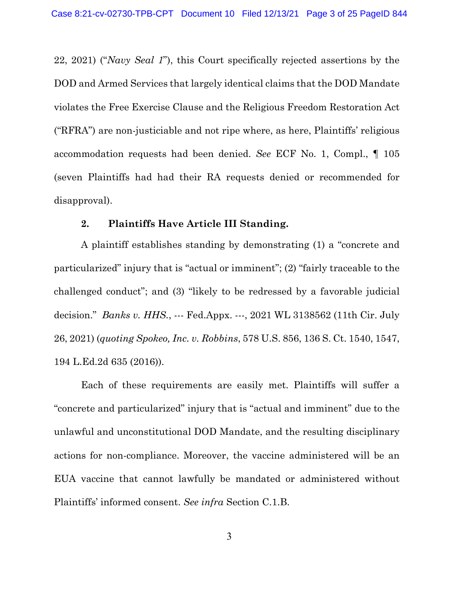22, 2021) ("*Navy Seal 1*"), this Court specifically rejected assertions by the DOD and Armed Services that largely identical claims that the DOD Mandate violates the Free Exercise Clause and the Religious Freedom Restoration Act ("RFRA") are non-justiciable and not ripe where, as here, Plaintiffs' religious accommodation requests had been denied. *See* ECF No. 1, Compl., ¶ 105 (seven Plaintiffs had had their RA requests denied or recommended for disapproval).

#### **2. Plaintiffs Have Article III Standing.**

A plaintiff establishes standing by demonstrating (1) a "concrete and particularized" injury that is "actual or imminent"; (2) "fairly traceable to the challenged conduct"; and (3) "likely to be redressed by a favorable judicial decision." *Banks v. HHS.*, --- Fed.Appx. ---, 2021 WL 3138562 (11th Cir. July 26, 2021) (*quoting Spokeo, Inc. v. Robbins*, 578 U.S. 856, 136 S. Ct. 1540, 1547, 194 L.Ed.2d 635 (2016)).

Each of these requirements are easily met. Plaintiffs will suffer a "concrete and particularized" injury that is "actual and imminent" due to the unlawful and unconstitutional DOD Mandate, and the resulting disciplinary actions for non-compliance. Moreover, the vaccine administered will be an EUA vaccine that cannot lawfully be mandated or administered without Plaintiffs' informed consent. *See infra* Section C.1.B.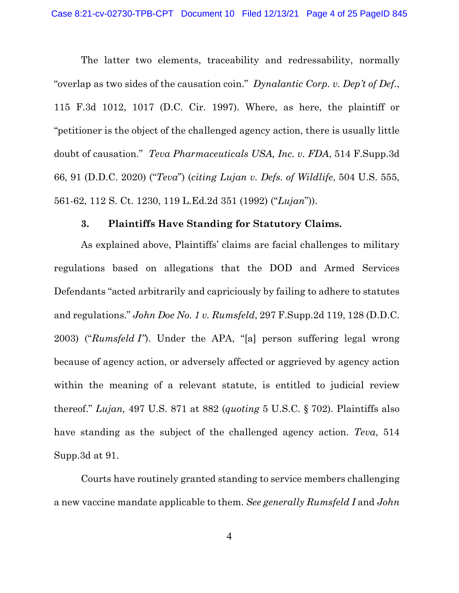The latter two elements, traceability and redressability, normally "overlap as two sides of the causation coin." *Dynalantic Corp. v. Dep't of Def.*, 115 F.3d 1012, 1017 (D.C. Cir. 1997). Where, as here, the plaintiff or "petitioner is the object of the challenged agency action, there is usually little doubt of causation." *Teva Pharmaceuticals USA, Inc. v. FDA*, 514 F.Supp.3d 66, 91 (D.D.C. 2020) ("*Teva*") (*citing Lujan v. Defs. of Wildlife*, 504 U.S. 555, 561-62, 112 S. Ct. 1230, 119 L.Ed.2d 351 (1992) ("*Lujan*")).

### **3. Plaintiffs Have Standing for Statutory Claims.**

As explained above, Plaintiffs' claims are facial challenges to military regulations based on allegations that the DOD and Armed Services Defendants "acted arbitrarily and capriciously by failing to adhere to statutes and regulations." *John Doe No. 1 v. Rumsfeld*, 297 F.Supp.2d 119, 128 (D.D.C. 2003) ("*Rumsfeld I"*). Under the APA, "[a] person suffering legal wrong because of agency action, or adversely affected or aggrieved by agency action within the meaning of a relevant statute, is entitled to judicial review thereof." *Lujan,* 497 U.S. 871 at 882 (*quoting* 5 U.S.C. § 702). Plaintiffs also have standing as the subject of the challenged agency action. *Teva*, 514 Supp.3d at 91.

Courts have routinely granted standing to service members challenging a new vaccine mandate applicable to them. *See generally Rumsfeld I* and *John*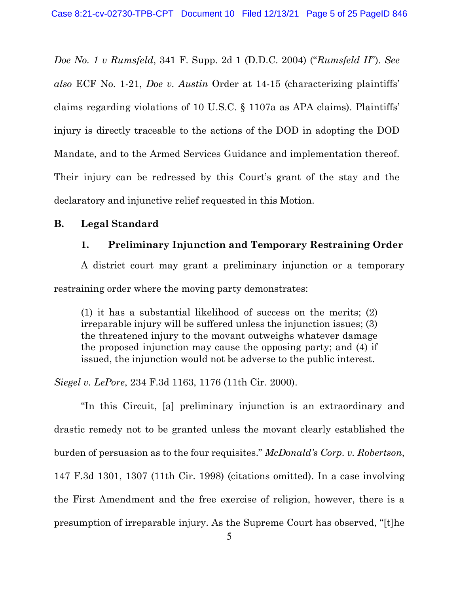*Doe No. 1 v Rumsfeld*, 341 F. Supp. 2d 1 (D.D.C. 2004) ("*Rumsfeld II*"). *See also* ECF No. 1-21, *Doe v. Austin* Order at 14-15 (characterizing plaintiffs' claims regarding violations of 10 U.S.C. § 1107a as APA claims). Plaintiffs' injury is directly traceable to the actions of the DOD in adopting the DOD Mandate, and to the Armed Services Guidance and implementation thereof. Their injury can be redressed by this Court's grant of the stay and the declaratory and injunctive relief requested in this Motion.

### **B. Legal Standard**

### **1. Preliminary Injunction and Temporary Restraining Order**

A district court may grant a preliminary injunction or a temporary restraining order where the moving party demonstrates:

(1) it has a substantial likelihood of success on the merits; (2) irreparable injury will be suffered unless the injunction issues; (3) the threatened injury to the movant outweighs whatever damage the proposed injunction may cause the opposing party; and (4) if issued, the injunction would not be adverse to the public interest.

*Siegel v. LePore*, 234 F.3d 1163, 1176 (11th Cir. 2000).

"In this Circuit, [a] preliminary injunction is an extraordinary and drastic remedy not to be granted unless the movant clearly established the burden of persuasion as to the four requisites." *McDonald's Corp. v. Robertson*, 147 F.3d 1301, 1307 (11th Cir. 1998) (citations omitted). In a case involving the First Amendment and the free exercise of religion, however, there is a presumption of irreparable injury. As the Supreme Court has observed, "[t]he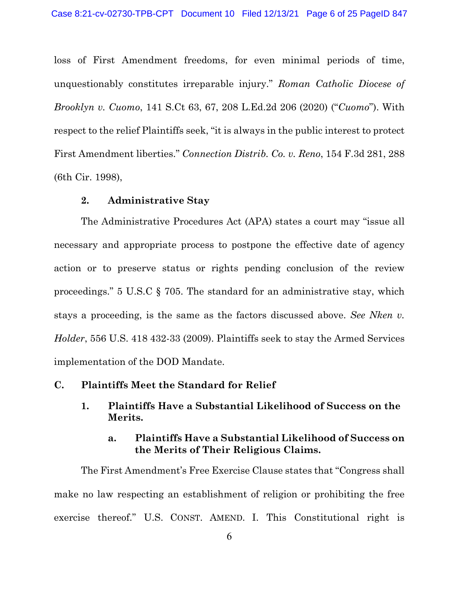loss of First Amendment freedoms, for even minimal periods of time, unquestionably constitutes irreparable injury." *Roman Catholic Diocese of Brooklyn v. Cuomo*, 141 S.Ct 63, 67, 208 L.Ed.2d 206 (2020) ("*Cuomo*"). With respect to the relief Plaintiffs seek, "it is always in the public interest to protect First Amendment liberties." *Connection Distrib. Co. v. Reno*, 154 F.3d 281, 288 (6th Cir. 1998),

#### **2. Administrative Stay**

The Administrative Procedures Act (APA) states a court may "issue all necessary and appropriate process to postpone the effective date of agency action or to preserve status or rights pending conclusion of the review proceedings." 5 U.S.C § 705. The standard for an administrative stay, which stays a proceeding, is the same as the factors discussed above. *See Nken v. Holder*, 556 U.S. 418 432-33 (2009). Plaintiffs seek to stay the Armed Services implementation of the DOD Mandate.

### **C. Plaintiffs Meet the Standard for Relief**

**1. Plaintiffs Have a Substantial Likelihood of Success on the Merits.**

# **a. Plaintiffs Have a Substantial Likelihood of Success on the Merits of Their Religious Claims.**

The First Amendment's Free Exercise Clause states that "Congress shall make no law respecting an establishment of religion or prohibiting the free exercise thereof." U.S. CONST. AMEND. I. This Constitutional right is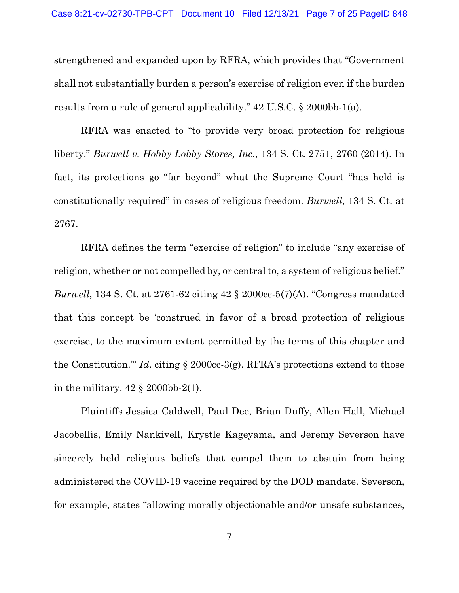strengthened and expanded upon by RFRA, which provides that "Government shall not substantially burden a person's exercise of religion even if the burden results from a rule of general applicability." 42 U.S.C. § 2000bb-1(a).

RFRA was enacted to "to provide very broad protection for religious liberty." *Burwell v. Hobby Lobby Stores, Inc.*, 134 S. Ct. 2751, 2760 (2014). In fact, its protections go "far beyond" what the Supreme Court "has held is constitutionally required" in cases of religious freedom. *Burwell*, 134 S. Ct. at 2767.

RFRA defines the term "exercise of religion" to include "any exercise of religion, whether or not compelled by, or central to, a system of religious belief." *Burwell*, 134 S. Ct. at 2761-62 citing 42 § 2000cc-5(7)(A). "Congress mandated that this concept be 'construed in favor of a broad protection of religious exercise, to the maximum extent permitted by the terms of this chapter and the Constitution.'" *Id*. citing § 2000cc-3(g). RFRA's protections extend to those in the military.  $42 \text{ § } 2000 \text{bb} \cdot 2(1)$ .

Plaintiffs Jessica Caldwell, Paul Dee, Brian Duffy, Allen Hall, Michael Jacobellis, Emily Nankivell, Krystle Kageyama, and Jeremy Severson have sincerely held religious beliefs that compel them to abstain from being administered the COVID-19 vaccine required by the DOD mandate. Severson, for example, states "allowing morally objectionable and/or unsafe substances,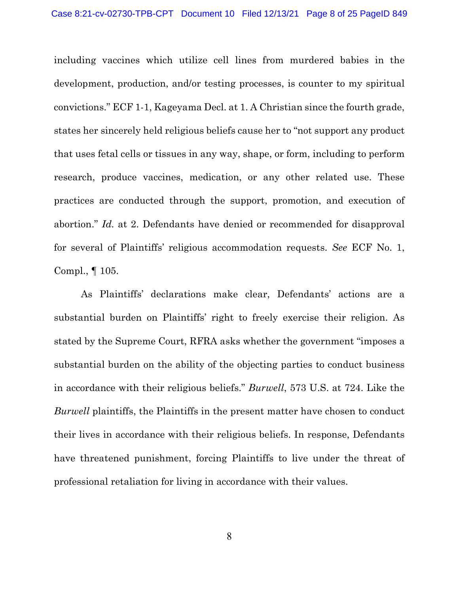including vaccines which utilize cell lines from murdered babies in the development, production, and/or testing processes, is counter to my spiritual convictions." ECF 1-1, Kageyama Decl. at 1. A Christian since the fourth grade, states her sincerely held religious beliefs cause her to "not support any product that uses fetal cells or tissues in any way, shape, or form, including to perform research, produce vaccines, medication, or any other related use. These practices are conducted through the support, promotion, and execution of abortion." *Id.* at 2. Defendants have denied or recommended for disapproval for several of Plaintiffs' religious accommodation requests. *See* ECF No. 1, Compl., ¶ 105.

As Plaintiffs' declarations make clear, Defendants' actions are a substantial burden on Plaintiffs' right to freely exercise their religion. As stated by the Supreme Court, RFRA asks whether the government "imposes a substantial burden on the ability of the objecting parties to conduct business in accordance with their religious beliefs." *Burwell*, 573 U.S. at 724. Like the *Burwell* plaintiffs, the Plaintiffs in the present matter have chosen to conduct their lives in accordance with their religious beliefs. In response, Defendants have threatened punishment, forcing Plaintiffs to live under the threat of professional retaliation for living in accordance with their values.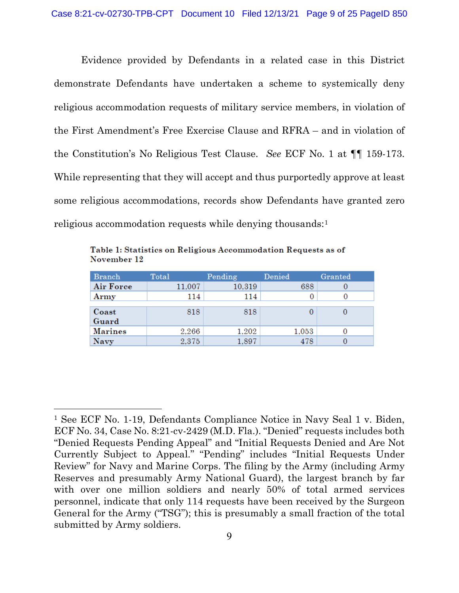Evidence provided by Defendants in a related case in this District demonstrate Defendants have undertaken a scheme to systemically deny religious accommodation requests of military service members, in violation of the First Amendment's Free Exercise Clause and RFRA – and in violation of the Constitution's No Religious Test Clause. *See* ECF No. 1 at ¶¶ 159-173. While representing that they will accept and thus purportedly approve at least some religious accommodations, records show Defendants have granted zero religious accommodation requests while denying thousands:<sup>[1](#page-8-0)</sup>

| <b>Branch</b>  | Total  | Pending | Denied | Granted |
|----------------|--------|---------|--------|---------|
| Air Force      | 11,007 | 10,319  | 688    |         |
| Army           | 114    | 114     | O      |         |
|                |        |         |        |         |
| Coast          | 818    | 818     |        |         |
| Guard          |        |         |        |         |
| <b>Marines</b> | 2,266  | 1,202   | 1,053  |         |
| Navy           | 2,375  | 1,897   | 478    |         |

Table 1: Statistics on Religious Accommodation Requests as of November 12

<span id="page-8-0"></span><sup>&</sup>lt;sup>1</sup> See ECF No. 1-19, Defendants Compliance Notice in Navy Seal 1 v. Biden, ECF No. 34, Case No. 8:21-cv-2429 (M.D. Fla.). "Denied" requests includes both "Denied Requests Pending Appeal" and "Initial Requests Denied and Are Not Currently Subject to Appeal." "Pending" includes "Initial Requests Under Review" for Navy and Marine Corps. The filing by the Army (including Army Reserves and presumably Army National Guard), the largest branch by far with over one million soldiers and nearly 50% of total armed services personnel, indicate that only 114 requests have been received by the Surgeon General for the Army ("TSG"); this is presumably a small fraction of the total submitted by Army soldiers.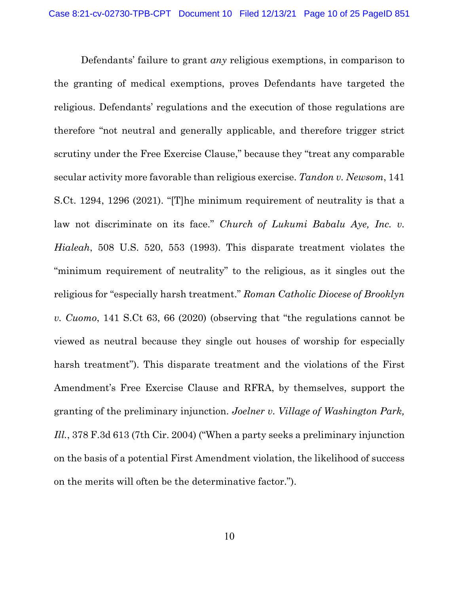Defendants' failure to grant *any* religious exemptions, in comparison to the granting of medical exemptions, proves Defendants have targeted the religious. Defendants' regulations and the execution of those regulations are therefore "not neutral and generally applicable, and therefore trigger strict scrutiny under the Free Exercise Clause," because they "treat any comparable secular activity more favorable than religious exercise. *Tandon v. Newsom*, 141 S.Ct. 1294, 1296 (2021). "[T]he minimum requirement of neutrality is that a law not discriminate on its face." *Church of Lukumi Babalu Aye, Inc. v. Hialeah*, 508 U.S. 520, 553 (1993). This disparate treatment violates the "minimum requirement of neutrality" to the religious, as it singles out the religious for "especially harsh treatment." *Roman Catholic Diocese of Brooklyn v. Cuomo*, 141 S.Ct 63, 66 (2020) (observing that "the regulations cannot be viewed as neutral because they single out houses of worship for especially harsh treatment"). This disparate treatment and the violations of the First Amendment's Free Exercise Clause and RFRA, by themselves, support the granting of the preliminary injunction. *Joelner v. Village of Washington Park, Ill.*, 378 F.3d 613 (7th Cir. 2004) ("When a party seeks a preliminary injunction on the basis of a potential First Amendment violation, the likelihood of success on the merits will often be the determinative factor.").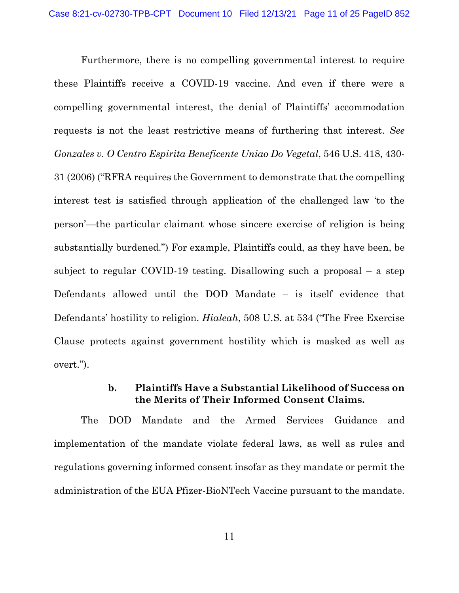Furthermore, there is no compelling governmental interest to require these Plaintiffs receive a COVID-19 vaccine. And even if there were a compelling governmental interest, the denial of Plaintiffs' accommodation requests is not the least restrictive means of furthering that interest. *See Gonzales v. O Centro Espirita Beneficente Uniao Do Vegetal*, 546 U.S. 418, 430- 31 (2006) ("RFRA requires the Government to demonstrate that the compelling interest test is satisfied through application of the challenged law 'to the person'—the particular claimant whose sincere exercise of religion is being substantially burdened.") For example, Plaintiffs could, as they have been, be subject to regular COVID-19 testing. Disallowing such a proposal – a step Defendants allowed until the DOD Mandate – is itself evidence that Defendants' hostility to religion. *Hialeah*, 508 U.S. at 534 ("The Free Exercise Clause protects against government hostility which is masked as well as overt.").

# **b. Plaintiffs Have a Substantial Likelihood of Success on the Merits of Their Informed Consent Claims.**

The DOD Mandate and the Armed Services Guidance and implementation of the mandate violate federal laws, as well as rules and regulations governing informed consent insofar as they mandate or permit the administration of the EUA Pfizer-BioNTech Vaccine pursuant to the mandate.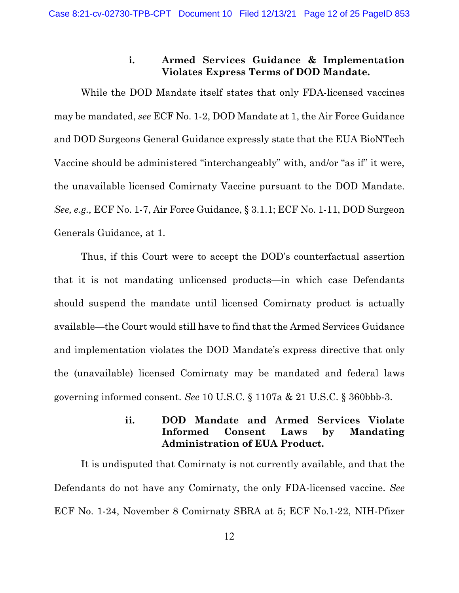# **i. Armed Services Guidance & Implementation Violates Express Terms of DOD Mandate.**

While the DOD Mandate itself states that only FDA-licensed vaccines may be mandated, *see* ECF No. 1-2, DOD Mandate at 1, the Air Force Guidance and DOD Surgeons General Guidance expressly state that the EUA BioNTech Vaccine should be administered "interchangeably" with, and/or "as if" it were, the unavailable licensed Comirnaty Vaccine pursuant to the DOD Mandate. *See, e.g.,* ECF No. 1-7, Air Force Guidance, § 3.1.1; ECF No. 1-11, DOD Surgeon Generals Guidance, at 1.

Thus, if this Court were to accept the DOD's counterfactual assertion that it is not mandating unlicensed products—in which case Defendants should suspend the mandate until licensed Comirnaty product is actually available—the Court would still have to find that the Armed Services Guidance and implementation violates the DOD Mandate's express directive that only the (unavailable) licensed Comirnaty may be mandated and federal laws governing informed consent. *See* 10 U.S.C. § 1107a & 21 U.S.C. § 360bbb-3.

# **ii. DOD Mandate and Armed Services Violate Informed Consent Laws by Mandating Administration of EUA Product.**

It is undisputed that Comirnaty is not currently available, and that the Defendants do not have any Comirnaty, the only FDA-licensed vaccine. *See*  ECF No. 1-24, November 8 Comirnaty SBRA at 5; ECF No.1-22, NIH-Pfizer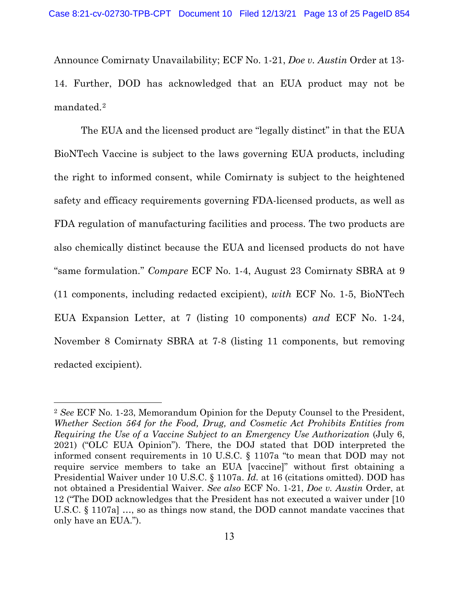Announce Comirnaty Unavailability; ECF No. 1-21, *Doe v. Austin* Order at 13- 14. Further, DOD has acknowledged that an EUA product may not be mandated.[2](#page-12-0)

The EUA and the licensed product are "legally distinct" in that the EUA BioNTech Vaccine is subject to the laws governing EUA products, including the right to informed consent, while Comirnaty is subject to the heightened safety and efficacy requirements governing FDA-licensed products, as well as FDA regulation of manufacturing facilities and process. The two products are also chemically distinct because the EUA and licensed products do not have "same formulation." *Compare* ECF No. 1-4, August 23 Comirnaty SBRA at 9 (11 components, including redacted excipient), *with* ECF No. 1-5, BioNTech EUA Expansion Letter, at 7 (listing 10 components) *and* ECF No. 1-24, November 8 Comirnaty SBRA at 7-8 (listing 11 components, but removing redacted excipient).

<span id="page-12-0"></span><sup>2</sup> *See* ECF No. 1-23, Memorandum Opinion for the Deputy Counsel to the President, *Whether Section 564 for the Food, Drug, and Cosmetic Act Prohibits Entities from Requiring the Use of a Vaccine Subject to an Emergency Use Authorization* (July 6, 2021) ("OLC EUA Opinion"). There, the DOJ stated that DOD interpreted the informed consent requirements in 10 U.S.C. § 1107a "to mean that DOD may not require service members to take an EUA [vaccine]" without first obtaining a Presidential Waiver under 10 U.S.C. § 1107a. *Id.* at 16 (citations omitted). DOD has not obtained a Presidential Waiver. *See also* ECF No. 1-21, *Doe v. Austin* Order, at 12 ("The DOD acknowledges that the President has not executed a waiver under [10 U.S.C. § 1107a] …, so as things now stand, the DOD cannot mandate vaccines that only have an EUA.").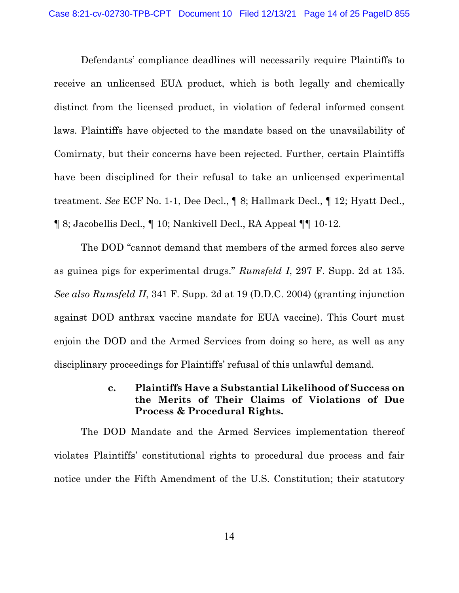Defendants' compliance deadlines will necessarily require Plaintiffs to receive an unlicensed EUA product, which is both legally and chemically distinct from the licensed product, in violation of federal informed consent laws. Plaintiffs have objected to the mandate based on the unavailability of Comirnaty, but their concerns have been rejected. Further, certain Plaintiffs have been disciplined for their refusal to take an unlicensed experimental treatment. *See* ECF No. 1-1, Dee Decl., ¶ 8; Hallmark Decl., ¶ 12; Hyatt Decl., ¶ 8; Jacobellis Decl., ¶ 10; Nankivell Decl., RA Appeal ¶¶ 10-12.

The DOD "cannot demand that members of the armed forces also serve as guinea pigs for experimental drugs." *Rumsfeld I*, 297 F. Supp. 2d at 135. *See also Rumsfeld II*, 341 F. Supp. 2d at 19 (D.D.C. 2004) (granting injunction against DOD anthrax vaccine mandate for EUA vaccine). This Court must enjoin the DOD and the Armed Services from doing so here, as well as any disciplinary proceedings for Plaintiffs' refusal of this unlawful demand.

# **c. Plaintiffs Have a Substantial Likelihood of Success on the Merits of Their Claims of Violations of Due Process & Procedural Rights.**

The DOD Mandate and the Armed Services implementation thereof violates Plaintiffs' constitutional rights to procedural due process and fair notice under the Fifth Amendment of the U.S. Constitution; their statutory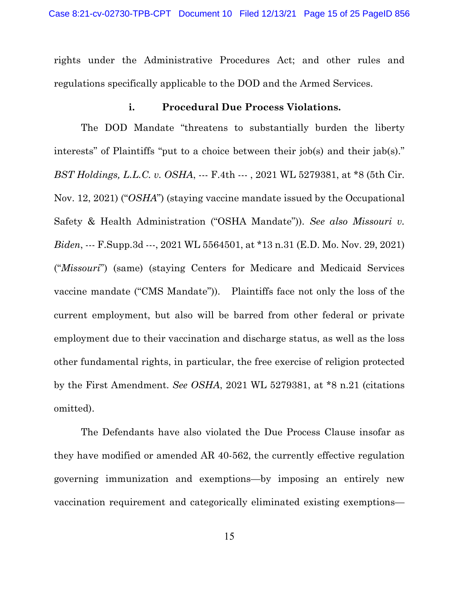rights under the Administrative Procedures Act; and other rules and regulations specifically applicable to the DOD and the Armed Services.

### **i. Procedural Due Process Violations.**

The DOD Mandate "threatens to substantially burden the liberty interests" of Plaintiffs "put to a choice between their job(s) and their jab(s)." *BST Holdings, L.L.C. v. OSHA*, --- F.4th --- , 2021 WL 5279381, at \*8 (5th Cir. Nov. 12, 2021) ("*OSHA*") (staying vaccine mandate issued by the Occupational Safety & Health Administration ("OSHA Mandate")). *See also Missouri v. Biden*, --- F.Supp.3d ---, 2021 WL 5564501, at \*13 n.31 (E.D. Mo. Nov. 29, 2021) ("*Missouri*") (same) (staying Centers for Medicare and Medicaid Services vaccine mandate ("CMS Mandate")). Plaintiffs face not only the loss of the current employment, but also will be barred from other federal or private employment due to their vaccination and discharge status, as well as the loss other fundamental rights, in particular, the free exercise of religion protected by the First Amendment. *See OSHA*, 2021 WL 5279381, at \*8 n.21 (citations omitted).

The Defendants have also violated the Due Process Clause insofar as they have modified or amended AR 40-562, the currently effective regulation governing immunization and exemptions—by imposing an entirely new vaccination requirement and categorically eliminated existing exemptions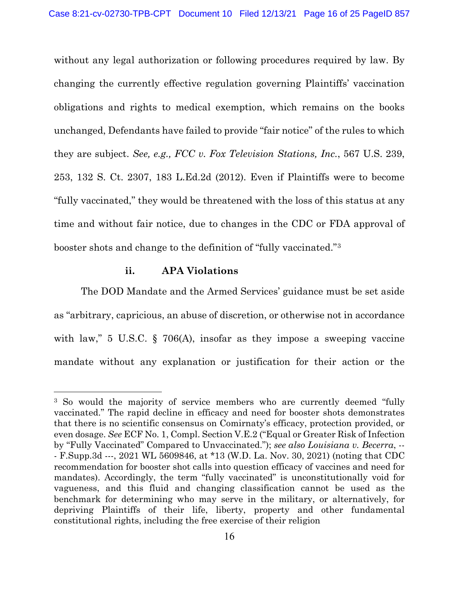without any legal authorization or following procedures required by law. By changing the currently effective regulation governing Plaintiffs' vaccination obligations and rights to medical exemption, which remains on the books unchanged, Defendants have failed to provide "fair notice" of the rules to which they are subject. *See, e.g., FCC v. Fox Television Stations, Inc.*, 567 U.S. 239, 253, 132 S. Ct. 2307, 183 L.Ed.2d (2012). Even if Plaintiffs were to become "fully vaccinated," they would be threatened with the loss of this status at any time and without fair notice, due to changes in the CDC or FDA approval of booster shots and change to the definition of "fully vaccinated."[3](#page-15-0)

### **ii. APA Violations**

The DOD Mandate and the Armed Services' guidance must be set aside as "arbitrary, capricious, an abuse of discretion, or otherwise not in accordance with law," 5 U.S.C. § 706(A), insofar as they impose a sweeping vaccine mandate without any explanation or justification for their action or the

<span id="page-15-0"></span><sup>&</sup>lt;sup>3</sup> So would the majority of service members who are currently deemed "fully vaccinated." The rapid decline in efficacy and need for booster shots demonstrates that there is no scientific consensus on Comirnaty's efficacy, protection provided, or even dosage. *See* ECF No. 1, Compl. Section V.E.2 ("Equal or Greater Risk of Infection by "Fully Vaccinated" Compared to Unvaccinated."); *see also Louisiana v. Becerra*, -- - F.Supp.3d ---, 2021 WL 5609846, at \*13 (W.D. La. Nov. 30, 2021) (noting that CDC recommendation for booster shot calls into question efficacy of vaccines and need for mandates). Accordingly, the term "fully vaccinated" is unconstitutionally void for vagueness, and this fluid and changing classification cannot be used as the benchmark for determining who may serve in the military, or alternatively, for depriving Plaintiffs of their life, liberty, property and other fundamental constitutional rights, including the free exercise of their religion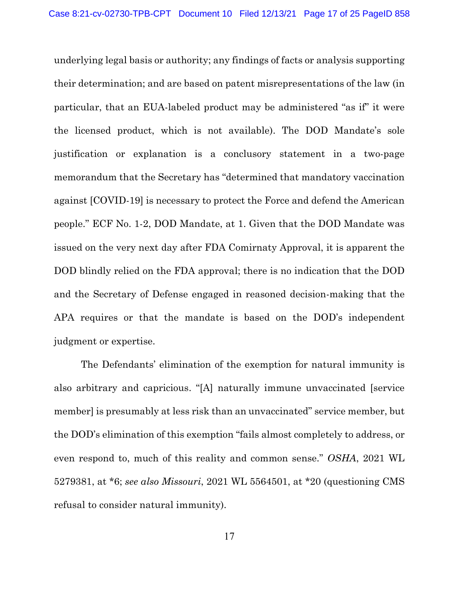underlying legal basis or authority; any findings of facts or analysis supporting their determination; and are based on patent misrepresentations of the law (in particular, that an EUA-labeled product may be administered "as if" it were the licensed product, which is not available). The DOD Mandate's sole justification or explanation is a conclusory statement in a two-page memorandum that the Secretary has "determined that mandatory vaccination against [COVID-19] is necessary to protect the Force and defend the American people." ECF No. 1-2, DOD Mandate, at 1. Given that the DOD Mandate was issued on the very next day after FDA Comirnaty Approval, it is apparent the DOD blindly relied on the FDA approval; there is no indication that the DOD and the Secretary of Defense engaged in reasoned decision-making that the APA requires or that the mandate is based on the DOD's independent judgment or expertise.

The Defendants' elimination of the exemption for natural immunity is also arbitrary and capricious. "[A] naturally immune unvaccinated [service member] is presumably at less risk than an unvaccinated" service member, but the DOD's elimination of this exemption "fails almost completely to address, or even respond to, much of this reality and common sense." *OSHA*, 2021 WL 5279381, at \*6; *see also Missouri*, 2021 WL 5564501, at \*20 (questioning CMS refusal to consider natural immunity).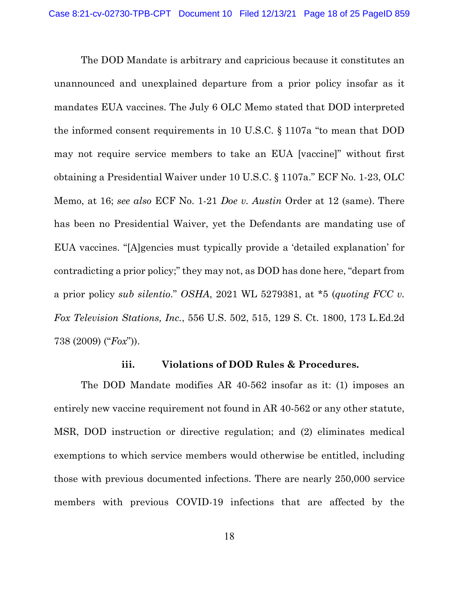The DOD Mandate is arbitrary and capricious because it constitutes an unannounced and unexplained departure from a prior policy insofar as it mandates EUA vaccines. The July 6 OLC Memo stated that DOD interpreted the informed consent requirements in 10 U.S.C. § 1107a "to mean that DOD may not require service members to take an EUA [vaccine]" without first obtaining a Presidential Waiver under 10 U.S.C. § 1107a." ECF No. 1-23, OLC Memo, at 16; *see also* ECF No. 1-21 *Doe v. Austin* Order at 12 (same). There has been no Presidential Waiver, yet the Defendants are mandating use of EUA vaccines. "[A]gencies must typically provide a 'detailed explanation' for contradicting a prior policy;" they may not, as DOD has done here, "depart from a prior policy *sub silentio*." *OSHA*, 2021 WL 5279381, at \*5 (*quoting FCC v. Fox Television Stations, Inc.*, 556 U.S. 502, 515, 129 S. Ct. 1800, 173 L.Ed.2d 738 (2009) ("*Fox*")).

#### **iii. Violations of DOD Rules & Procedures.**

The DOD Mandate modifies AR 40-562 insofar as it: (1) imposes an entirely new vaccine requirement not found in AR 40-562 or any other statute, MSR, DOD instruction or directive regulation; and (2) eliminates medical exemptions to which service members would otherwise be entitled, including those with previous documented infections. There are nearly 250,000 service members with previous COVID-19 infections that are affected by the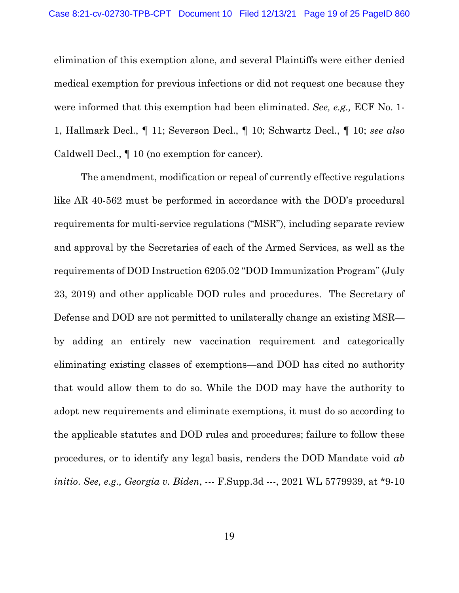elimination of this exemption alone, and several Plaintiffs were either denied medical exemption for previous infections or did not request one because they were informed that this exemption had been eliminated. *See, e.g.,* ECF No. 1- 1, Hallmark Decl., ¶ 11; Severson Decl., ¶ 10; Schwartz Decl., ¶ 10; *see also*  Caldwell Decl., ¶ 10 (no exemption for cancer).

The amendment, modification or repeal of currently effective regulations like AR 40-562 must be performed in accordance with the DOD's procedural requirements for multi-service regulations ("MSR"), including separate review and approval by the Secretaries of each of the Armed Services, as well as the requirements of DOD Instruction 6205.02 "DOD Immunization Program" (July 23, 2019) and other applicable DOD rules and procedures. The Secretary of Defense and DOD are not permitted to unilaterally change an existing MSR by adding an entirely new vaccination requirement and categorically eliminating existing classes of exemptions—and DOD has cited no authority that would allow them to do so. While the DOD may have the authority to adopt new requirements and eliminate exemptions, it must do so according to the applicable statutes and DOD rules and procedures; failure to follow these procedures, or to identify any legal basis, renders the DOD Mandate void *ab initio*. *See, e.g., Georgia v. Biden*, --- F.Supp.3d ---, 2021 WL 5779939, at \*9-10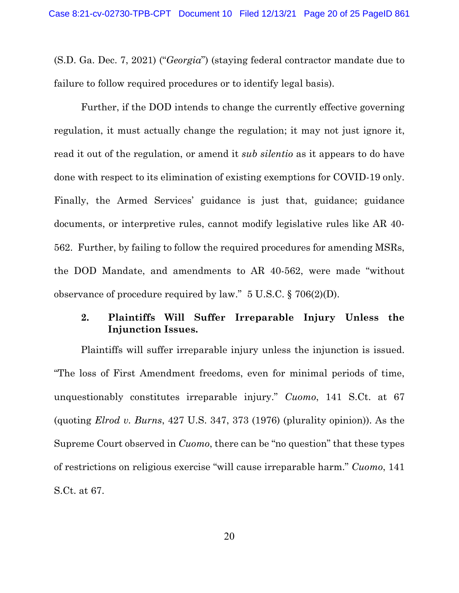(S.D. Ga. Dec. 7, 2021) ("*Georgia*") (staying federal contractor mandate due to failure to follow required procedures or to identify legal basis).

Further, if the DOD intends to change the currently effective governing regulation, it must actually change the regulation; it may not just ignore it, read it out of the regulation, or amend it *sub silentio* as it appears to do have done with respect to its elimination of existing exemptions for COVID-19 only. Finally, the Armed Services' guidance is just that, guidance; guidance documents, or interpretive rules, cannot modify legislative rules like AR 40- 562. Further, by failing to follow the required procedures for amending MSRs, the DOD Mandate, and amendments to AR 40-562, were made "without observance of procedure required by law." 5 U.S.C. § 706(2)(D).

# **2. Plaintiffs Will Suffer Irreparable Injury Unless the Injunction Issues.**

Plaintiffs will suffer irreparable injury unless the injunction is issued. "The loss of First Amendment freedoms, even for minimal periods of time, unquestionably constitutes irreparable injury." *Cuomo*, 141 S.Ct. at 67 (quoting *Elrod v. Burns*, 427 U.S. 347, 373 (1976) (plurality opinion)). As the Supreme Court observed in *Cuomo*, there can be "no question" that these types of restrictions on religious exercise "will cause irreparable harm." *Cuomo*, 141 S.Ct. at 67.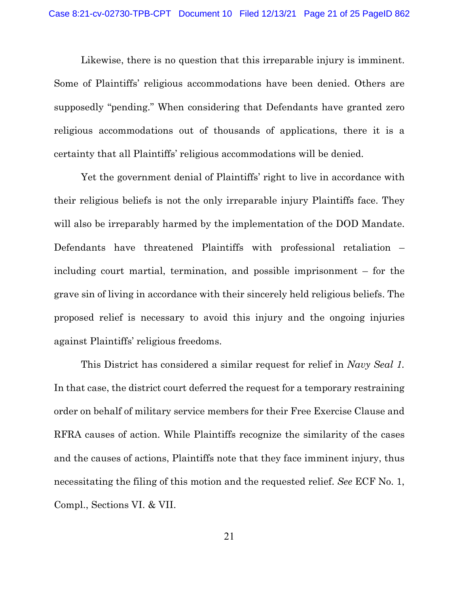Likewise, there is no question that this irreparable injury is imminent. Some of Plaintiffs' religious accommodations have been denied. Others are supposedly "pending." When considering that Defendants have granted zero religious accommodations out of thousands of applications, there it is a certainty that all Plaintiffs' religious accommodations will be denied.

Yet the government denial of Plaintiffs' right to live in accordance with their religious beliefs is not the only irreparable injury Plaintiffs face. They will also be irreparably harmed by the implementation of the DOD Mandate. Defendants have threatened Plaintiffs with professional retaliation – including court martial, termination, and possible imprisonment – for the grave sin of living in accordance with their sincerely held religious beliefs. The proposed relief is necessary to avoid this injury and the ongoing injuries against Plaintiffs' religious freedoms.

This District has considered a similar request for relief in *Navy Seal 1.* In that case, the district court deferred the request for a temporary restraining order on behalf of military service members for their Free Exercise Clause and RFRA causes of action. While Plaintiffs recognize the similarity of the cases and the causes of actions, Plaintiffs note that they face imminent injury, thus necessitating the filing of this motion and the requested relief. *See* ECF No. 1, Compl., Sections VI. & VII.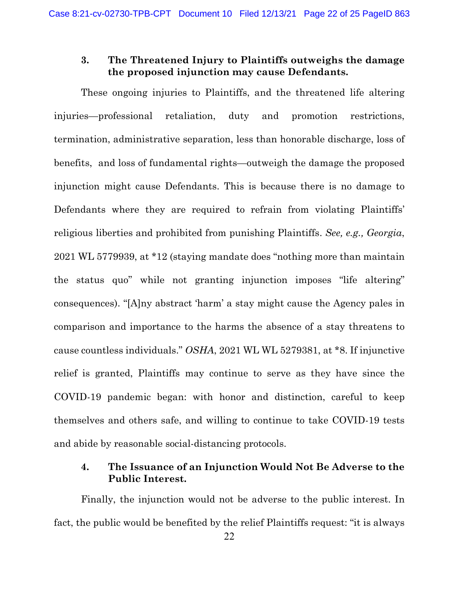### **3. The Threatened Injury to Plaintiffs outweighs the damage the proposed injunction may cause Defendants.**

These ongoing injuries to Plaintiffs, and the threatened life altering injuries—professional retaliation, duty and promotion restrictions, termination, administrative separation, less than honorable discharge, loss of benefits, and loss of fundamental rights—outweigh the damage the proposed injunction might cause Defendants. This is because there is no damage to Defendants where they are required to refrain from violating Plaintiffs' religious liberties and prohibited from punishing Plaintiffs. *See, e.g., Georgia*, 2021 WL 5779939, at \*12 (staying mandate does "nothing more than maintain the status quo" while not granting injunction imposes "life altering" consequences). "[A]ny abstract 'harm' a stay might cause the Agency pales in comparison and importance to the harms the absence of a stay threatens to cause countless individuals." *OSHA*, 2021 WL WL 5279381, at \*8. If injunctive relief is granted, Plaintiffs may continue to serve as they have since the COVID-19 pandemic began: with honor and distinction, careful to keep themselves and others safe, and willing to continue to take COVID-19 tests and abide by reasonable social-distancing protocols.

### **4. The Issuance of an Injunction Would Not Be Adverse to the Public Interest.**

Finally, the injunction would not be adverse to the public interest. In fact, the public would be benefited by the relief Plaintiffs request: "it is always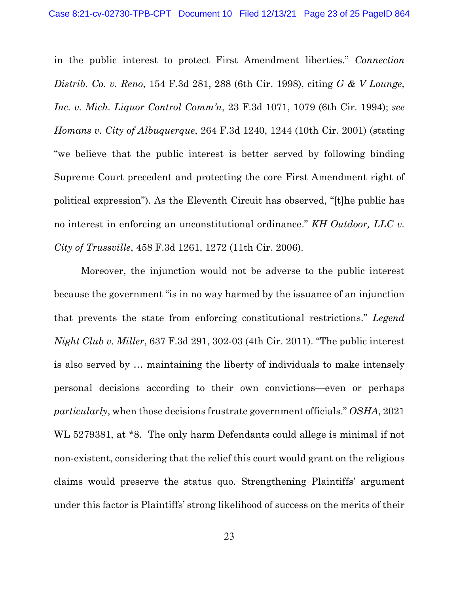in the public interest to protect First Amendment liberties." *Connection Distrib. Co. v. Reno*, 154 F.3d 281, 288 (6th Cir. 1998), citing *G & V Lounge, Inc. v. Mich. Liquor Control Comm'n*, 23 F.3d 1071, 1079 (6th Cir. 1994); *see Homans v. City of Albuquerque*, 264 F.3d 1240, 1244 (10th Cir. 2001) (stating "we believe that the public interest is better served by following binding Supreme Court precedent and protecting the core First Amendment right of political expression"). As the Eleventh Circuit has observed, "[t]he public has no interest in enforcing an unconstitutional ordinance." *KH Outdoor, LLC v. City of Trussville*, 458 F.3d 1261, 1272 (11th Cir. 2006).

Moreover, the injunction would not be adverse to the public interest because the government "is in no way harmed by the issuance of an injunction that prevents the state from enforcing constitutional restrictions." *Legend Night Club v. Miller*, 637 F.3d 291, 302-03 (4th Cir. 2011). "The public interest is also served by … maintaining the liberty of individuals to make intensely personal decisions according to their own convictions—even or perhaps *particularly*, when those decisions frustrate government officials." *OSHA*, 2021 WL 5279381, at \*8. The only harm Defendants could allege is minimal if not non-existent, considering that the relief this court would grant on the religious claims would preserve the status quo. Strengthening Plaintiffs' argument under this factor is Plaintiffs' strong likelihood of success on the merits of their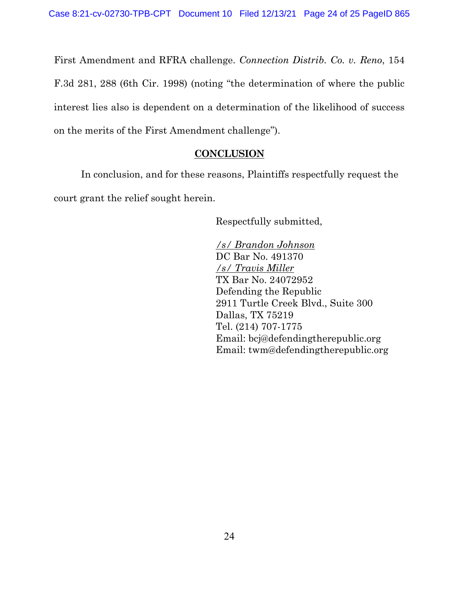First Amendment and RFRA challenge. *Connection Distrib. Co. v. Reno*, 154 F.3d 281, 288 (6th Cir. 1998) (noting "the determination of where the public interest lies also is dependent on a determination of the likelihood of success on the merits of the First Amendment challenge").

# **CONCLUSION**

In conclusion, and for these reasons, Plaintiffs respectfully request the court grant the relief sought herein.

Respectfully submitted,

*/s/ Brandon Johnson* DC Bar No. 491370 */s/ Travis Miller* TX Bar No. 24072952 Defending the Republic 2911 Turtle Creek Blvd., Suite 300 Dallas, TX 75219 Tel. (214) 707-1775 Email: bcj@defendingtherepublic.org Email: twm@defendingtherepublic.org